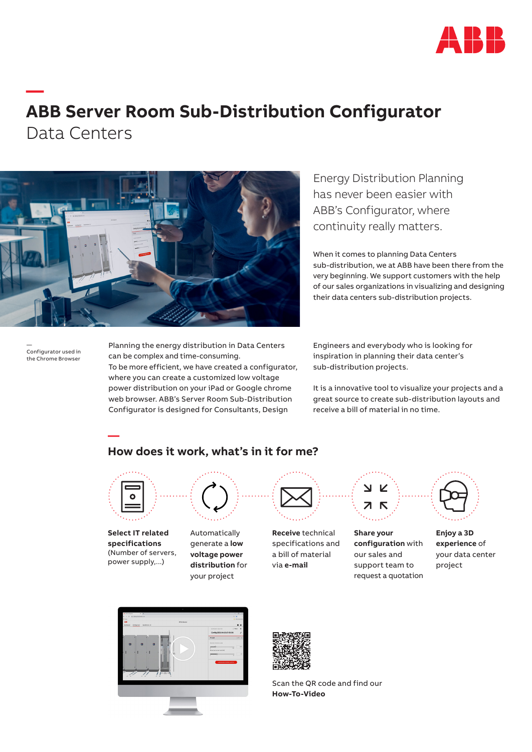

# **— ABB Server Room Sub-Distribution Configurator** Data Centers



Energy Distribution Planning has never been easier with ABB's Configurator, where continuity really matters.

When it comes to planning Data Centers sub-distribution, we at ABB have been there from the very beginning. We support customers with the help of our sales organizations in visualizing and designing their data centers sub-distribution projects.

— Configurator used in the Chrome Browser Planning the energy distribution in Data Centers can be complex and time-consuming. To be more efficient, we have created a configurator, where you can create a customized low voltage power distribution on your iPad or Google chrome web browser. ABB's Server Room Sub-Distribution Configurator is designed for Consultants, Design

Engineers and everybody who is looking for inspiration in planning their data center's sub-distribution projects.

It is a innovative tool to visualize your projects and a great source to create sub-distribution layouts and receive a bill of material in no time.

#### **How does it work, what's in it for me?**



**Select IT related specifications**  (Number of servers, power supply,...)

**—**

Automatically generate a **low voltage power distribution** for

your project



**Receive** technical specifications and a bill of material via **e-mail**



**Share your configuration** with our sales and support team to request a quotation

**Enjoy a 3D experience** of your data center project





Scan the QR code and find our **How-To-Video**